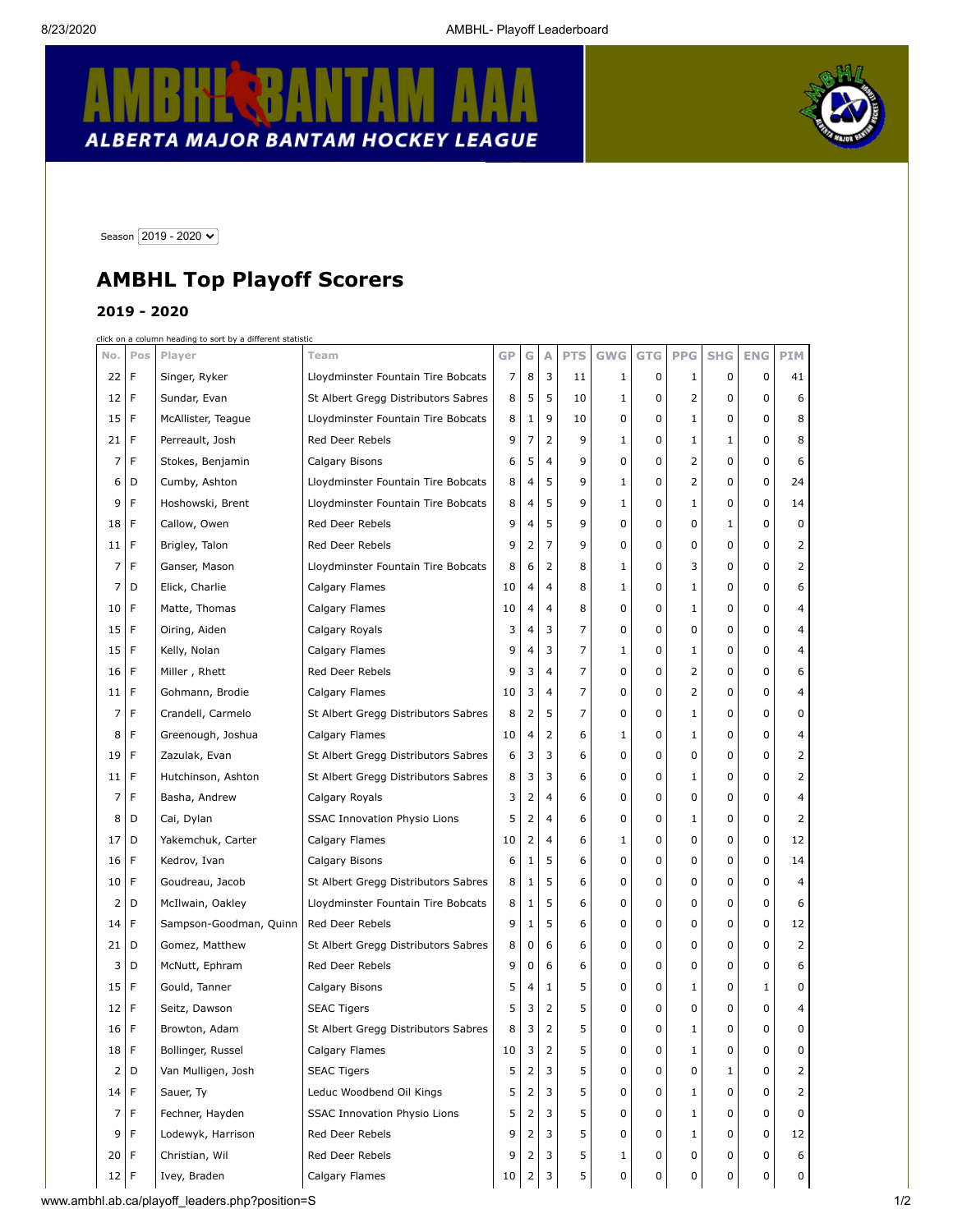## **E** BANTAM R K ALBERTA MAJOR BANTAM HOCKEY LEAGUE



Season 2019 - 2020 V

## **AMBHL Top Playoff Scorers**

## **2019 - 2020**

click on a column heading to sort by a different statistic

|                |             | <u>ciick on a column neading to sort by a different statistic</u> |                                     |           |   |                |            |              |       |            |              |            |     |
|----------------|-------------|-------------------------------------------------------------------|-------------------------------------|-----------|---|----------------|------------|--------------|-------|------------|--------------|------------|-----|
| No.            | Pos         | Player                                                            | Team                                | <b>GP</b> | G | Α              | <b>PTS</b> | <b>GWG</b>   | G T G | <b>PPG</b> | <b>SHG</b>   | <b>ENG</b> | PIM |
| 22             | F           | Singer, Ryker                                                     | Lloydminster Fountain Tire Bobcats  | 7         | 8 | 3              | 11         | 1            | 0     | 1          | 0            | 0          | 41  |
| 12             | F           | Sundar, Evan                                                      | St Albert Gregg Distributors Sabres | 8         | 5 | 5              | 10         | 1            | 0     | 2          | 0            | 0          | 6   |
| 15             | F           | McAllister, Teague<br>Lloydminster Fountain Tire Bobcats          |                                     | 8         | 1 | 9              | 10         | 0            | 0     | 1          | 0            | 0          | 8   |
| 21             | F           | Perreault, Josh                                                   | Red Deer Rebels                     | 9         | 7 | 2              | 9          | 1            | 0     | 1          | $\mathbf{1}$ | 0          | 8   |
| 7              | F           | Stokes, Benjamin                                                  | Calgary Bisons                      | 6         | 5 | $\overline{4}$ | 9          | 0            | 0     | 2          | 0            | 0          | 6   |
| 6              | D           | Cumby, Ashton                                                     | Lloydminster Fountain Tire Bobcats  | 8         | 4 | 5              | 9          | 1            | 0     | 2          | 0            | 0          | 24  |
| 9              | F           | Hoshowski, Brent                                                  | Lloydminster Fountain Tire Bobcats  | 8         | 4 | 5              | 9          | 1            | 0     | 1          | 0            | 0          | 14  |
| 18             | F           | Callow, Owen                                                      | Red Deer Rebels                     | 9         | 4 | 5              | 9          | 0            | 0     | 0          | $\mathbf{1}$ | 0          | 0   |
| 11             | F           | Brigley, Talon                                                    | Red Deer Rebels                     | 9         | 2 | 7              | 9          | 0            | 0     | 0          | 0            | 0          | 2   |
| 7              | F           | Ganser, Mason                                                     | Lloydminster Fountain Tire Bobcats  | 8         | 6 | 2              | 8          | 1            | 0     | 3          | 0            | 0          | 2   |
| 7              | D           | Elick, Charlie                                                    | Calgary Flames                      | 10        | 4 | $\overline{4}$ | 8          | 1            | 0     | 1          | 0            | 0          | 6   |
| 10             | F           | Matte, Thomas                                                     | Calgary Flames                      | 10        | 4 | 4              | 8          | 0            | 0     | 1          | 0            | 0          | 4   |
| 15             | F           | Oiring, Aiden                                                     | Calgary Royals                      | 3         | 4 | 3              | 7          | 0            | 0     | 0          | 0            | 0          | 4   |
| 15             | F           | Kelly, Nolan                                                      | Calgary Flames                      | 9         | 4 | 3              | 7          | $\mathbf{1}$ | 0     | 1          | 0            | 0          | 4   |
| 16             | F           | Miller, Rhett                                                     | Red Deer Rebels                     | 9         | 3 | $\overline{4}$ | 7          | 0            | 0     | 2          | 0            | 0          | 6   |
| 11             | F           | Gohmann, Brodie                                                   | Calgary Flames                      | 10        | 3 | 4              | 7          | 0            | 0     | 2          | 0            | 0          | 4   |
| 7              | F           | Crandell, Carmelo                                                 | St Albert Gregg Distributors Sabres | 8         | 2 | 5              | 7          | 0            | 0     | 1          | 0            | 0          | 0   |
| 8              | F           | Greenough, Joshua                                                 | Calgary Flames                      | 10        | 4 | 2              | 6          | 1            | 0     | 1          | 0            | 0          | 4   |
| 19             | F           | Zazulak, Evan                                                     | St Albert Gregg Distributors Sabres | 6         | 3 | 3              | 6          | 0            | 0     | 0          | 0            | 0          | 2   |
| 11             | F           | Hutchinson, Ashton                                                | St Albert Gregg Distributors Sabres | 8         | 3 | 3              | 6          | 0            | 0     | 1          | 0            | 0          | 2   |
| 7              | F           | Basha, Andrew                                                     | Calgary Royals                      | 3         | 2 | 4              | 6          | 0            | 0     | 0          | 0            | 0          | 4   |
| 8              | D           | Cai, Dylan                                                        | <b>SSAC Innovation Physio Lions</b> | 5         | 2 | $\overline{4}$ | 6          | 0            | 0     | 1          | 0            | 0          | 2   |
| 17             | D           | Yakemchuk, Carter                                                 | Calgary Flames                      | 10        | 2 | 4              | 6          | 1            | 0     | 0          | 0            | 0          | 12  |
| 16             | F           | Kedrov, Ivan                                                      | Calgary Bisons                      | 6         | 1 | 5              | 6          | 0            | 0     | 0          | 0            | 0          | 14  |
| 10             | F           | Goudreau, Jacob                                                   | St Albert Gregg Distributors Sabres | 8         | 1 | 5              | 6          | 0            | 0     | 0          | 0            | 0          | 4   |
| 2              | D           | McIlwain, Oakley                                                  | Lloydminster Fountain Tire Bobcats  | 8         | 1 | 5              | 6          | 0            | 0     | 0          | 0            | 0          | 6   |
| 14             | F           | Sampson-Goodman, Quinn                                            | Red Deer Rebels                     | 9         | 1 | 5              | 6          | 0            | 0     | 0          | 0            | 0          | 12  |
| 21             | D           | Gomez, Matthew                                                    | St Albert Gregg Distributors Sabres | 8         | 0 | 6              | 6          | 0            | 0     | 0          | 0            | 0          | 2   |
| 3              | D           | McNutt, Ephram                                                    | Red Deer Rebels                     | 9         | 0 | 6              | 6          | 0            | 0     | 0          | 0            | 0          | 6   |
| 15             | F           | Gould, Tanner                                                     | Calgary Bisons                      | 5         | 4 | 1              | 5          | 0            | 0     | 1          | 0            | 1          | 0   |
| 12             | F           | Seitz, Dawson                                                     | <b>SEAC Tigers</b>                  | 5         | 3 | $\overline{2}$ | 5          | 0            | 0     | 0          | 0            | 0          | 4   |
| 16             | F           | Browton, Adam                                                     | St Albert Gregg Distributors Sabres | 8         | 3 | $\overline{2}$ | 5          | 0            | 0     | 1          | 0            | 0          | 0   |
| 18             | $\mathsf F$ | Bollinger, Russel                                                 | Calgary Flames                      | 10        | 3 | 2              | 5          | 0            | 0     | 1          | 0            | 0          | 0   |
| $\overline{2}$ | D           | Van Mulligen, Josh                                                | <b>SEAC Tigers</b>                  | 5         | 2 | 3              | 5          | 0            | 0     | 0          | 1            | 0          | 2   |
| 14             | $\mathsf F$ | Sauer, Ty                                                         | Leduc Woodbend Oil Kings            | 5         | 2 | 3              | 5          | 0            | 0     | 1          | 0            | 0          | 2   |
| 7              | F           | Fechner, Hayden                                                   | <b>SSAC Innovation Physio Lions</b> | 5         | 2 | 3              | 5          | 0            | 0     | 1          | 0            | 0          | 0   |
| 9              | F           | Lodewyk, Harrison                                                 | Red Deer Rebels                     | 9         | 2 | 3              | 5          | 0            | 0     | 1          | 0            | 0          | 12  |
| 20             | F           | Christian, Wil                                                    | Red Deer Rebels                     | 9         | 2 | 3              | 5          | 1            | 0     | 0          | 0            | 0          | 6   |
| 12             | F           | Ivey, Braden                                                      | Calgary Flames                      | 10        | 2 | 3              | 5          | 0            | 0     | 0          | 0            | 0          | 0   |
|                |             |                                                                   |                                     |           |   |                |            |              |       |            |              |            |     |

www.ambhl.ab.ca/playoff\_leaders.php?position=S 1/2